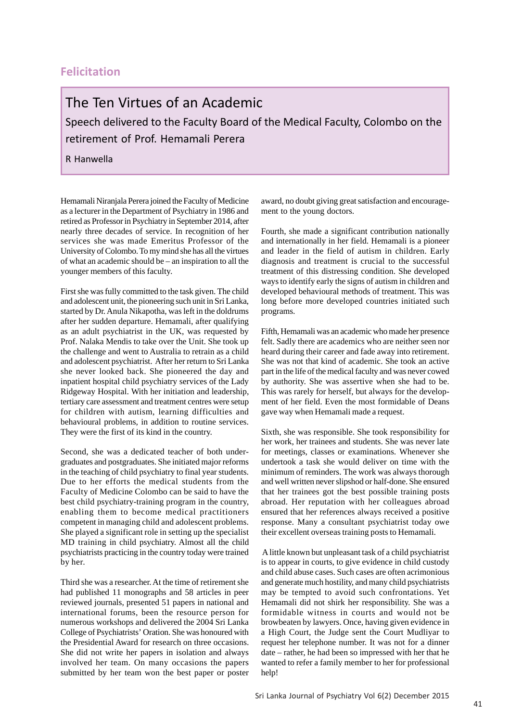## **Felicitation**

## The Ten Virtues of an Academic

Speech delivered to the Faculty Board of the Medical Faculty, Colombo on the retirement of Prof. Hemamali Perera

R Hanwella

Hemamali Niranjala Perera joined the Faculty of Medicine as a lecturer in the Department of Psychiatry in 1986 and retired as Professor in Psychiatry in September 2014, after nearly three decades of service. In recognition of her services she was made Emeritus Professor of the University of Colombo. To my mind she has all the virtues of what an academic should be – an inspiration to all the younger members of this faculty.

First she was fully committed to the task given. The child and adolescent unit, the pioneering such unit in Sri Lanka, started by Dr. Anula Nikapotha, was left in the doldrums after her sudden departure. Hemamali, after qualifying as an adult psychiatrist in the UK, was requested by Prof. Nalaka Mendis to take over the Unit. She took up the challenge and went to Australia to retrain as a child and adolescent psychiatrist. After her return to Sri Lanka she never looked back. She pioneered the day and inpatient hospital child psychiatry services of the Lady Ridgeway Hospital. With her initiation and leadership, tertiary care assessment and treatment centres were setup for children with autism, learning difficulties and behavioural problems, in addition to routine services. They were the first of its kind in the country.

Second, she was a dedicated teacher of both undergraduates and postgraduates. She initiated major reforms in the teaching of child psychiatry to final year students. Due to her efforts the medical students from the Faculty of Medicine Colombo can be said to have the best child psychiatry-training program in the country, enabling them to become medical practitioners competent in managing child and adolescent problems. She played a significant role in setting up the specialist MD training in child psychiatry. Almost all the child psychiatrists practicing in the country today were trained by her.

Third she was a researcher. At the time of retirement she had published 11 monographs and 58 articles in peer reviewed journals, presented 51 papers in national and international forums, been the resource person for numerous workshops and delivered the 2004 Sri Lanka College of Psychiatrists' Oration. She was honoured with the Presidential Award for research on three occasions. She did not write her papers in isolation and always involved her team. On many occasions the papers submitted by her team won the best paper or poster

award, no doubt giving great satisfaction and encouragement to the young doctors.

Fourth, she made a significant contribution nationally and internationally in her field. Hemamali is a pioneer and leader in the field of autism in children. Early diagnosis and treatment is crucial to the successful treatment of this distressing condition. She developed ways to identify early the signs of autism in children and developed behavioural methods of treatment. This was long before more developed countries initiated such programs.

Fifth, Hemamali was an academic who made her presence felt. Sadly there are academics who are neither seen nor heard during their career and fade away into retirement. She was not that kind of academic. She took an active part in the life of the medical faculty and was never cowed by authority. She was assertive when she had to be. This was rarely for herself, but always for the development of her field. Even the most formidable of Deans gave way when Hemamali made a request.

Sixth, she was responsible. She took responsibility for her work, her trainees and students. She was never late for meetings, classes or examinations. Whenever she undertook a task she would deliver on time with the minimum of reminders. The work was always thorough and well written never slipshod or half-done. She ensured that her trainees got the best possible training posts abroad. Her reputation with her colleagues abroad ensured that her references always received a positive response. Many a consultant psychiatrist today owe their excellent overseas training posts to Hemamali.

 A little known but unpleasant task of a child psychiatrist is to appear in courts, to give evidence in child custody and child abuse cases. Such cases are often acrimonious and generate much hostility, and many child psychiatrists may be tempted to avoid such confrontations. Yet Hemamali did not shirk her responsibility. She was a formidable witness in courts and would not be browbeaten by lawyers. Once, having given evidence in a High Court, the Judge sent the Court Mudliyar to request her telephone number. It was not for a dinner date – rather, he had been so impressed with her that he wanted to refer a family member to her for professional help!